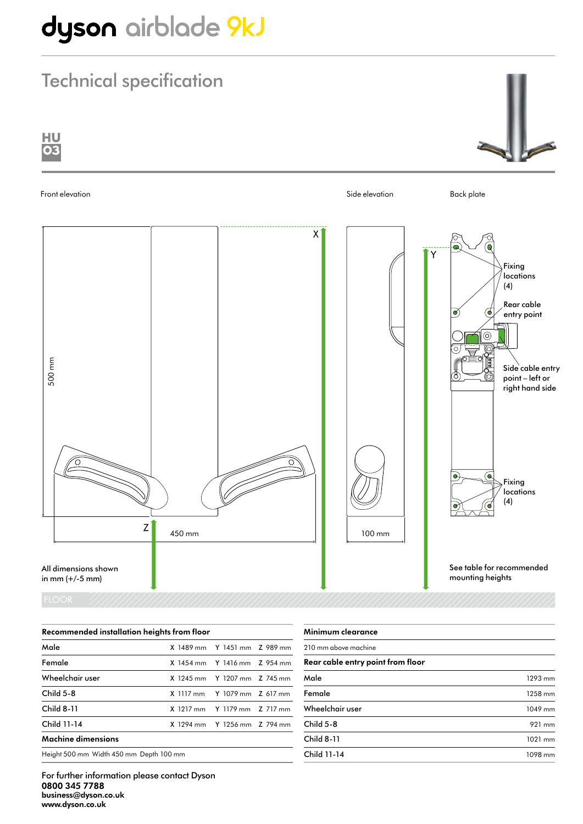# dyson airblade 9kJ

### Technical specification



| Recommended installation heights from floor |  |                                    |  |
|---------------------------------------------|--|------------------------------------|--|
| Male                                        |  | X 1489 mm Y 1451 mm Z 989 mm       |  |
| Female                                      |  | $X$ 1454 mm $Y$ 1416 mm $Z$ 954 mm |  |
| Wheelchair user                             |  | X 1245 mm Y 1207 mm Z 745 mm       |  |
| Child 5-8                                   |  | X 1117 mm Y 1079 mm Z 617 mm       |  |
| Child 8-11                                  |  | X 1217 mm Y 1179 mm Z 717 mm       |  |
| Child 11-14                                 |  | X 1294 mm Y 1256 mm Z 794 mm       |  |
| Machine dimensions                          |  |                                    |  |
| Height 500 mm Width 450 mm Depth 100 mm     |  |                                    |  |

| Minimum clearance                 |         |
|-----------------------------------|---------|
| 210 mm above machine              |         |
| Rear cable entry point from floor |         |
| Male                              | 1293 mm |
| Female                            | 1258 mm |
| Wheelchair user                   | 1049 mm |
| Child 5-8                         | 921 mm  |
| <b>Child 8-11</b>                 | 1021 mm |
| Child 11-14                       | 1098 mm |
|                                   |         |

For further information please contact Dyson 0800 345 7788 business@dyson.co.uk www.dyson.co.uk